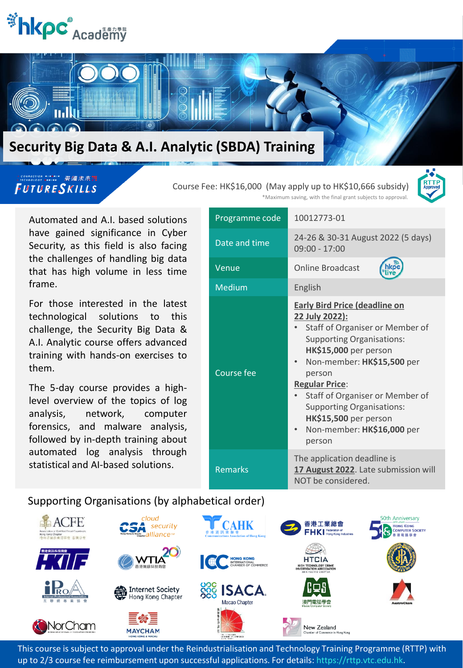



#### FUTURESKILLS

#### Course Fee: HK\$16,000 (May apply up to HK\$10,666 subsidy)



\*Maximum saving, with the final grant subjects to approval.

Automated and A.I. based solutions have gained significance in Cyber Security, as this field is also facing the challenges of handling big data that has high volume in less time frame.

For those interested in the latest technological solutions to this challenge, the Security Big Data & A.I. Analytic course offers advanced training with hands-on exercises to them.

The 5-day course provides a highlevel overview of the topics of log analysis, network, computer forensics, and malware analysis, followed by in-depth training about automated log analysis through statistical and AI-based solutions.

| Programme code    | 10012773-01                                                                                                                                                                                                                                                                                                                                                     |
|-------------------|-----------------------------------------------------------------------------------------------------------------------------------------------------------------------------------------------------------------------------------------------------------------------------------------------------------------------------------------------------------------|
| Date and time     | 24-26 & 30-31 August 2022 (5 days)<br>$09:00 - 17:00$                                                                                                                                                                                                                                                                                                           |
| Venue             | <b>Online Broadcast</b>                                                                                                                                                                                                                                                                                                                                         |
| Medium            | English                                                                                                                                                                                                                                                                                                                                                         |
| <b>Course fee</b> | <b>Early Bird Price (deadline on</b><br>22 July 2022):<br>Staff of Organiser or Member of<br><b>Supporting Organisations:</b><br>HK\$15,000 per person<br>Non-member: HK\$15,500 per<br>person<br><b>Regular Price:</b><br>Staff of Organiser or Member of<br><b>Supporting Organisations:</b><br>HK\$15,500 per person<br>Non-member: HK\$16,000 per<br>person |
| <b>Remarks</b>    | The application deadline is<br>17 August 2022. Late submission will<br>NOT be considered.                                                                                                                                                                                                                                                                       |

#### Supporting Organisations (by alphabetical order)



This course is subject to approval under the Reindustrialisation and Technology Training Programme (RTTP) with up to 2/3 course fee reimbursement upon successful applications. For details: https://rttp.vtc.edu.hk.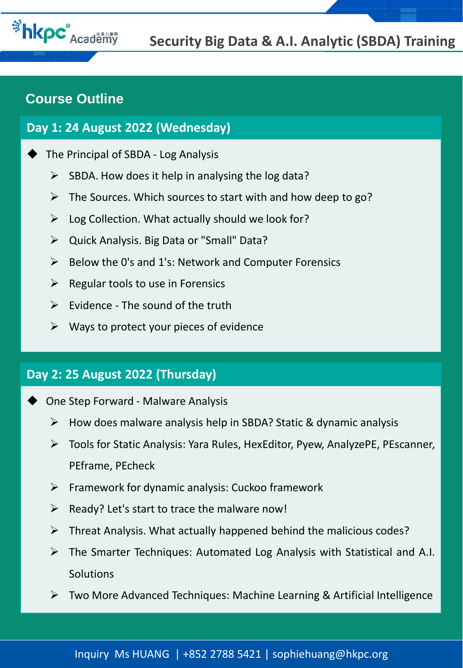

# **Course Outline**

### **Day 1: 24 August 2022 (Wednesday)**

- The Principal of SBDA Log Analysis
	- $\triangleright$  SBDA. How does it help in analysing the log data?
	- $\triangleright$  The Sources. Which sources to start with and how deep to go?
	- $\triangleright$  Log Collection. What actually should we look for?
	- ➢ Quick Analysis. Big Data or "Small" Data?
	- $\triangleright$  Below the 0's and 1's: Network and Computer Forensics
	- $\triangleright$  Regular tools to use in Forensics
	- $\triangleright$  Evidence The sound of the truth
	- $\triangleright$  Ways to protect your pieces of evidence

# **Day 2: 25 August 2022 (Thursday)**

- One Step Forward Malware Analysis
	- $\triangleright$  How does malware analysis help in SBDA? Static & dynamic analysis
	- ➢ Tools for Static Analysis: Yara Rules, HexEditor, Pyew, AnalyzePE, PEscanner, PEframe, PEcheck
	- $\triangleright$  Framework for dynamic analysis: Cuckoo framework
	- $\triangleright$  Ready? Let's start to trace the malware now!
	- $\triangleright$  Threat Analysis. What actually happened behind the malicious codes?
	- ➢ The Smarter Techniques: Automated Log Analysis with Statistical and A.I. **Solutions**
	- ➢ Two More Advanced Techniques: Machine Learning & Artificial Intelligence

#### Inquiry Ms HUANG | +852 2788 5421 | sophiehuang@hkpc.org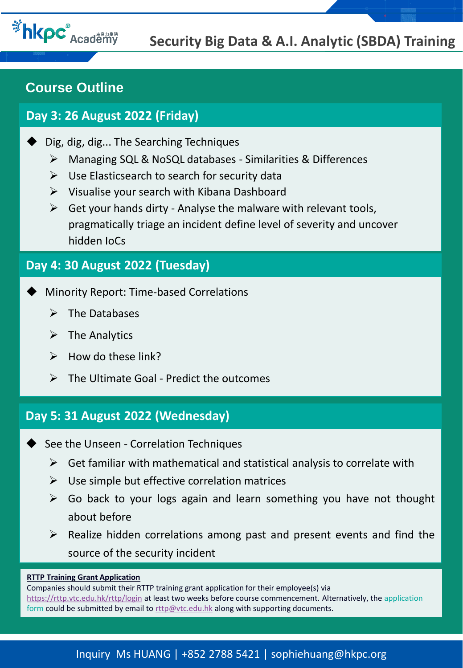

# **Course Outline**

# **Day 3: 26 August 2022 (Friday)**

- Dig, dig, dig... The Searching Techniques
	- ➢ Managing SQL & NoSQL databases Similarities & Differences
	- $\triangleright$  Use Elasticsearch to search for security data
	- $\triangleright$  Visualise your search with Kibana Dashboard
	- $\triangleright$  Get your hands dirty Analyse the malware with relevant tools, pragmatically triage an incident define level of severity and uncover hidden IoCs

## **Day 4: 30 August 2022 (Tuesday)**

- Minority Report: Time-based Correlations
	- $\triangleright$  The Databases
	- $\triangleright$  The Analytics
	- $\triangleright$  How do these link?
	- $\triangleright$  The Ultimate Goal Predict the outcomes

## **Day 5: 31 August 2022 (Wednesday)**

- See the Unseen Correlation Techniques
	- $\triangleright$  Get familiar with mathematical and statistical analysis to correlate with
	- $\triangleright$  Use simple but effective correlation matrices
	- $\triangleright$  Go back to your logs again and learn something you have not thought about before
	- $\triangleright$  Realize hidden correlations among past and present events and find the source of the security incident

#### **RTTP Training Grant Application**

Companies should submit their RTTP training grant application for their employee(s) via <https://rttp.vtc.edu.hk/rttp/login> at least two weeks before course commencement. Alternatively, the application form could be submitted by email to [rttp@vtc.edu.hk](mailto:rttp@vtc.edu.hk) along with supporting documents.

#### Inquiry Ms HUANG | +852 2788 5421 | sophiehuang@hkpc.org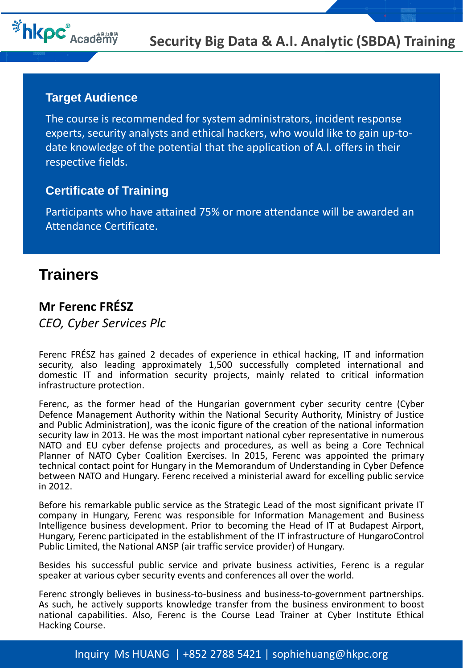

#### **Target Audience**

The course is recommended for system administrators, incident response experts, security analysts and ethical hackers, who would like to gain up-todate knowledge of the potential that the application of A.I. offers in their respective fields.

### **Certificate of Training**

Participants who have attained 75% or more attendance will be awarded an Attendance Certificate.

# **Trainers**

### **Mr Ferenc FRÉSZ**

*CEO, Cyber Services Plc*

Ferenc FRÉSZ has gained 2 decades of experience in ethical hacking, IT and information security, also leading approximately 1,500 successfully completed international and domestic IT and information security projects, mainly related to critical information infrastructure protection.

Ferenc, as the former head of the Hungarian government cyber security centre (Cyber Defence Management Authority within the National Security Authority, Ministry of Justice and Public Administration), was the iconic figure of the creation of the national information security law in 2013. He was the most important national cyber representative in numerous NATO and EU cyber defense projects and procedures, as well as being a Core Technical Planner of NATO Cyber Coalition Exercises. In 2015, Ferenc was appointed the primary technical contact point for Hungary in the Memorandum of Understanding in Cyber Defence between NATO and Hungary. Ferenc received a ministerial award for excelling public service in 2012.

Before his remarkable public service as the Strategic Lead of the most significant private IT company in Hungary, Ferenc was responsible for Information Management and Business Intelligence business development. Prior to becoming the Head of IT at Budapest Airport, Hungary, Ferenc participated in the establishment of the IT infrastructure of HungaroControl Public Limited, the National ANSP (air traffic service provider) of Hungary.

Besides his successful public service and private business activities, Ferenc is a regular speaker at various cyber security events and conferences all over the world.

Ferenc strongly believes in business-to-business and business-to-government partnerships. As such, he actively supports knowledge transfer from the business environment to boost national capabilities. Also, Ferenc is the Course Lead Trainer at Cyber Institute Ethical Hacking Course.